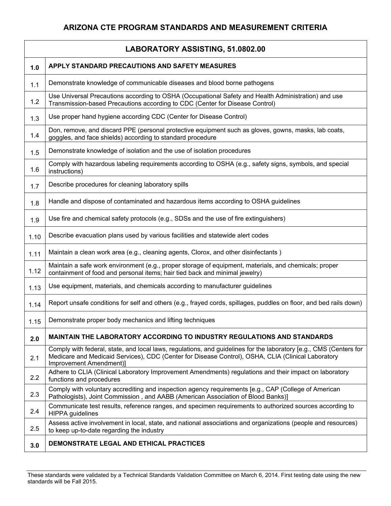|      | LABORATORY ASSISTING, 51.0802.00                                                                                                                                                                                                                    |  |  |
|------|-----------------------------------------------------------------------------------------------------------------------------------------------------------------------------------------------------------------------------------------------------|--|--|
| 1.0  | APPLY STANDARD PRECAUTIONS AND SAFETY MEASURES                                                                                                                                                                                                      |  |  |
| 1.1  | Demonstrate knowledge of communicable diseases and blood borne pathogens                                                                                                                                                                            |  |  |
| 1.2  | Use Universal Precautions according to OSHA (Occupational Safety and Health Administration) and use<br>Transmission-based Precautions according to CDC (Center for Disease Control)                                                                 |  |  |
| 1.3  | Use proper hand hygiene according CDC (Center for Disease Control)                                                                                                                                                                                  |  |  |
| 1.4  | Don, remove, and discard PPE (personal protective equipment such as gloves, gowns, masks, lab coats,<br>goggles, and face shields) according to standard procedure                                                                                  |  |  |
| 1.5  | Demonstrate knowledge of isolation and the use of isolation procedures                                                                                                                                                                              |  |  |
| 1.6  | Comply with hazardous labeling requirements according to OSHA (e.g., safety signs, symbols, and special<br>instructions)                                                                                                                            |  |  |
| 1.7  | Describe procedures for cleaning laboratory spills                                                                                                                                                                                                  |  |  |
| 1.8  | Handle and dispose of contaminated and hazardous items according to OSHA guidelines                                                                                                                                                                 |  |  |
| 1.9  | Use fire and chemical safety protocols (e.g., SDSs and the use of fire extinguishers)                                                                                                                                                               |  |  |
| 1.10 | Describe evacuation plans used by various facilities and statewide alert codes                                                                                                                                                                      |  |  |
| 1.11 | Maintain a clean work area (e.g., cleaning agents, Clorox, and other disinfectants)                                                                                                                                                                 |  |  |
| 1.12 | Maintain a safe work environment (e.g., proper storage of equipment, materials, and chemicals; proper<br>containment of food and personal items; hair tied back and minimal jewelry)                                                                |  |  |
| 1.13 | Use equipment, materials, and chemicals according to manufacturer guidelines                                                                                                                                                                        |  |  |
| 1.14 | Report unsafe conditions for self and others (e.g., frayed cords, spillages, puddles on floor, and bed rails down)                                                                                                                                  |  |  |
| 1.15 | Demonstrate proper body mechanics and lifting techniques                                                                                                                                                                                            |  |  |
| 2.0  | <b>MAINTAIN THE LABORATORY ACCORDING TO INDUSTRY REGULATIONS AND STANDARDS</b>                                                                                                                                                                      |  |  |
| 2.1  | Comply with federal, state, and local laws, regulations, and guidelines for the laboratory [e.g., CMS (Centers for<br>Medicare and Medicaid Services), CDC (Center for Disease Control), OSHA, CLIA (Clinical Laboratory<br>Improvement Amendment)] |  |  |
| 2.2  | Adhere to CLIA (Clinical Laboratory Improvement Amendments) regulations and their impact on laboratory<br>functions and procedures                                                                                                                  |  |  |
| 2.3  | Comply with voluntary accrediting and inspection agency requirements [e.g., CAP (College of American<br>Pathologists), Joint Commission, and AABB (American Association of Blood Banks)]                                                            |  |  |
| 2.4  | Communicate test results, reference ranges, and specimen requirements to authorized sources according to<br><b>HIPPA</b> guidelines                                                                                                                 |  |  |
| 2.5  | Assess active involvement in local, state, and national associations and organizations (people and resources)<br>to keep up-to-date regarding the industry                                                                                          |  |  |
| 3.0  | DEMONSTRATE LEGAL AND ETHICAL PRACTICES                                                                                                                                                                                                             |  |  |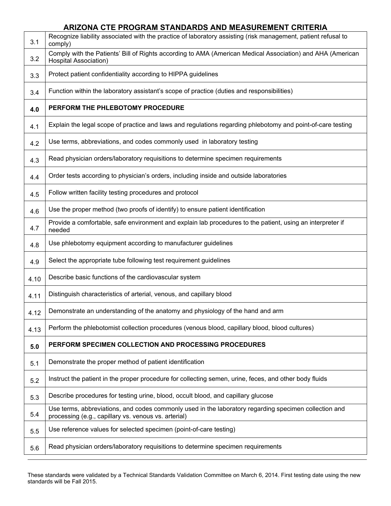|      | ARIZONA CTE PROGRAM STANDARDS AND MEASUREMENT CRITERIA                                                                                                        |
|------|---------------------------------------------------------------------------------------------------------------------------------------------------------------|
| 3.1  | Recognize liability associated with the practice of laboratory assisting (risk management, patient refusal to<br>comply)                                      |
| 3.2  | Comply with the Patients' Bill of Rights according to AMA (American Medical Association) and AHA (American<br><b>Hospital Association)</b>                    |
| 3.3  | Protect patient confidentiality according to HIPPA guidelines                                                                                                 |
| 3.4  | Function within the laboratory assistant's scope of practice (duties and responsibilities)                                                                    |
| 4.0  | PERFORM THE PHLEBOTOMY PROCEDURE                                                                                                                              |
| 4.1  | Explain the legal scope of practice and laws and regulations regarding phlebotomy and point-of-care testing                                                   |
| 4.2  | Use terms, abbreviations, and codes commonly used in laboratory testing                                                                                       |
| 4.3  | Read physician orders/laboratory requisitions to determine specimen requirements                                                                              |
| 4.4  | Order tests according to physician's orders, including inside and outside laboratories                                                                        |
| 4.5  | Follow written facility testing procedures and protocol                                                                                                       |
| 4.6  | Use the proper method (two proofs of identify) to ensure patient identification                                                                               |
| 4.7  | Provide a comfortable, safe environment and explain lab procedures to the patient, using an interpreter if<br>needed                                          |
| 4.8  | Use phlebotomy equipment according to manufacturer guidelines                                                                                                 |
| 4.9  | Select the appropriate tube following test requirement guidelines                                                                                             |
| 4.10 | Describe basic functions of the cardiovascular system                                                                                                         |
| 4.11 | Distinguish characteristics of arterial, venous, and capillary blood                                                                                          |
| 4.12 | Demonstrate an understanding of the anatomy and physiology of the hand and arm                                                                                |
| 4.13 | Perform the phlebotomist collection procedures (venous blood, capillary blood, blood cultures)                                                                |
| 5.0  | PERFORM SPECIMEN COLLECTION AND PROCESSING PROCEDURES                                                                                                         |
| 5.1  | Demonstrate the proper method of patient identification                                                                                                       |
| 5.2  | Instruct the patient in the proper procedure for collecting semen, urine, feces, and other body fluids                                                        |
| 5.3  | Describe procedures for testing urine, blood, occult blood, and capillary glucose                                                                             |
| 5.4  | Use terms, abbreviations, and codes commonly used in the laboratory regarding specimen collection and<br>processing (e.g., capillary vs. venous vs. arterial) |
| 5.5  | Use reference values for selected specimen (point-of-care testing)                                                                                            |
| 5.6  | Read physician orders/laboratory requisitions to determine specimen requirements                                                                              |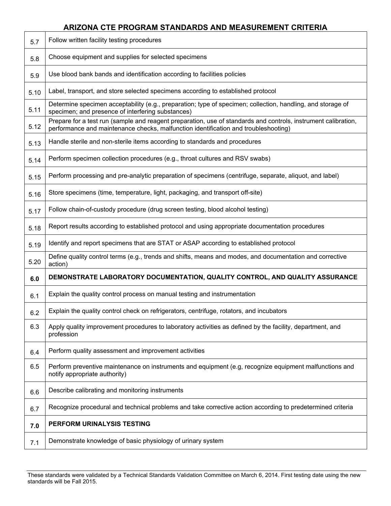## **ARIZONA CTE PROGRAM STANDARDS AND MEASUREMENT CRITERIA**

| 5.7  | Follow written facility testing procedures                                                                                                                                                            |
|------|-------------------------------------------------------------------------------------------------------------------------------------------------------------------------------------------------------|
| 5.8  | Choose equipment and supplies for selected specimens                                                                                                                                                  |
| 5.9  | Use blood bank bands and identification according to facilities policies                                                                                                                              |
| 5.10 | Label, transport, and store selected specimens according to established protocol                                                                                                                      |
| 5.11 | Determine specimen acceptability (e.g., preparation; type of specimen; collection, handling, and storage of<br>specimen; and presence of interfering substances)                                      |
| 5.12 | Prepare for a test run (sample and reagent preparation, use of standards and controls, instrument calibration,<br>performance and maintenance checks, malfunction identification and troubleshooting) |
| 5.13 | Handle sterile and non-sterile items according to standards and procedures                                                                                                                            |
| 5.14 | Perform specimen collection procedures (e.g., throat cultures and RSV swabs)                                                                                                                          |
| 5.15 | Perform processing and pre-analytic preparation of specimens (centrifuge, separate, aliquot, and label)                                                                                               |
| 5.16 | Store specimens (time, temperature, light, packaging, and transport off-site)                                                                                                                         |
| 5.17 | Follow chain-of-custody procedure (drug screen testing, blood alcohol testing)                                                                                                                        |
| 5.18 | Report results according to established protocol and using appropriate documentation procedures                                                                                                       |
| 5.19 | Identify and report specimens that are STAT or ASAP according to established protocol                                                                                                                 |
| 5.20 | Define quality control terms (e.g., trends and shifts, means and modes, and documentation and corrective<br>action)                                                                                   |
| 6.0  | DEMONSTRATE LABORATORY DOCUMENTATION, QUALITY CONTROL, AND QUALITY ASSURANCE                                                                                                                          |
| 6.1  | Explain the quality control process on manual testing and instrumentation                                                                                                                             |
| 6.2  | Explain the quality control check on refrigerators, centrifuge, rotators, and incubators                                                                                                              |
| 6.3  | Apply quality improvement procedures to laboratory activities as defined by the facility, department, and<br>profession                                                                               |
| 6.4  | Perform quality assessment and improvement activities                                                                                                                                                 |
| 6.5  | Perform preventive maintenance on instruments and equipment (e.g, recognize equipment malfunctions and<br>notify appropriate authority)                                                               |
| 6.6  | Describe calibrating and monitoring instruments                                                                                                                                                       |
| 6.7  | Recognize procedural and technical problems and take corrective action according to predetermined criteria                                                                                            |
| 7.0  | PERFORM URINALYSIS TESTING                                                                                                                                                                            |
| 7.1  | Demonstrate knowledge of basic physiology of urinary system                                                                                                                                           |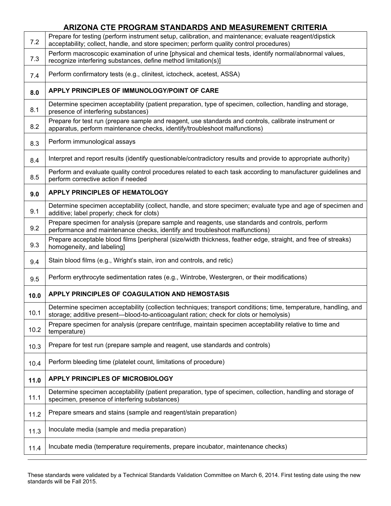|      | ARIZONA CTE PROGRAM STANDARDS AND MEASUREMENT CRITERIA                                                                                                                                                    |
|------|-----------------------------------------------------------------------------------------------------------------------------------------------------------------------------------------------------------|
| 7.2  | Prepare for testing (perform instrument setup, calibration, and maintenance; evaluate reagent/dipstick<br>acceptability; collect, handle, and store specimen; perform quality control procedures)         |
| 7.3  | Perform macroscopic examination of urine [physical and chemical tests, identify normal/abnormal values,<br>recognize interfering substances, define method limitation(s)]                                 |
| 7.4  | Perform confirmatory tests (e.g., clinitest, ictocheck, acetest, ASSA)                                                                                                                                    |
| 8.0  | APPLY PRINCIPLES OF IMMUNOLOGY/POINT OF CARE                                                                                                                                                              |
| 8.1  | Determine specimen acceptability (patient preparation, type of specimen, collection, handling and storage,<br>presence of interfering substances)                                                         |
| 8.2  | Prepare for test run (prepare sample and reagent, use standards and controls, calibrate instrument or<br>apparatus, perform maintenance checks, identify/troubleshoot malfunctions)                       |
| 8.3  | Perform immunological assays                                                                                                                                                                              |
| 8.4  | Interpret and report results (identify questionable/contradictory results and provide to appropriate authority)                                                                                           |
| 8.5  | Perform and evaluate quality control procedures related to each task according to manufacturer guidelines and<br>perform corrective action if needed                                                      |
| 9.0  | <b>APPLY PRINCIPLES OF HEMATOLOGY</b>                                                                                                                                                                     |
| 9.1  | Determine specimen acceptability (collect, handle, and store specimen; evaluate type and age of specimen and<br>additive; label properly; check for clots)                                                |
| 9.2  | Prepare specimen for analysis (prepare sample and reagents, use standards and controls, perform<br>performance and maintenance checks, identify and troubleshoot malfunctions)                            |
| 9.3  | Prepare acceptable blood films [peripheral (size/width thickness, feather edge, straight, and free of streaks)<br>homogeneity, and labeling]                                                              |
| 9.4  | Stain blood films (e.g., Wright's stain, iron and controls, and retic)                                                                                                                                    |
| 9.5  | Perform erythrocyte sedimentation rates (e.g., Wintrobe, Westergren, or their modifications)                                                                                                              |
| 10.0 | APPLY PRINCIPLES OF COAGULATION AND HEMOSTASIS                                                                                                                                                            |
| 10.1 | Determine specimen acceptability (collection techniques; transport conditions; time, temperature, handling, and<br>storage; additive present—blood-to-anticoagulant ration; check for clots or hemolysis) |
| 10.2 | Prepare specimen for analysis (prepare centrifuge, maintain specimen acceptability relative to time and<br>temperature)                                                                                   |
| 10.3 | Prepare for test run (prepare sample and reagent, use standards and controls)                                                                                                                             |
| 10.4 | Perform bleeding time (platelet count, limitations of procedure)                                                                                                                                          |
| 11.0 | APPLY PRINCIPLES OF MICROBIOLOGY                                                                                                                                                                          |
| 11.1 | Determine specimen acceptability (patient preparation, type of specimen, collection, handling and storage of<br>specimen, presence of interfering substances)                                             |
| 11.2 | Prepare smears and stains (sample and reagent/stain preparation)                                                                                                                                          |
| 11.3 | Inoculate media (sample and media preparation)                                                                                                                                                            |
| 11.4 | Incubate media (temperature requirements, prepare incubator, maintenance checks)                                                                                                                          |
|      |                                                                                                                                                                                                           |